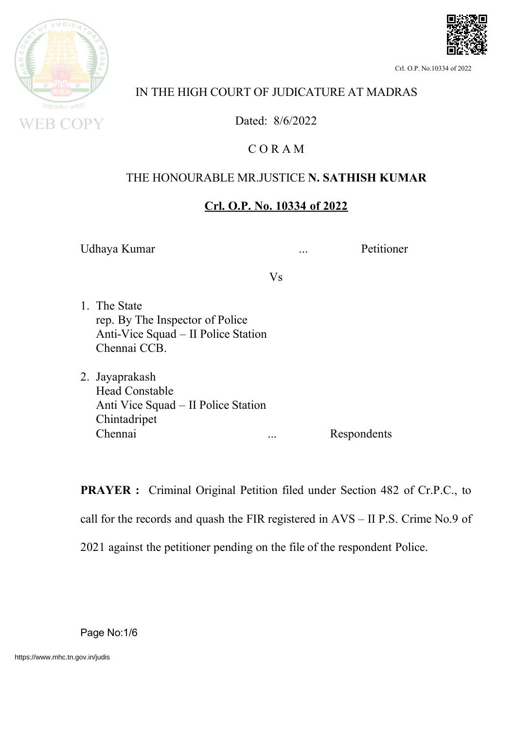



#### IN THE HIGH COURT OF JUDICATURE AT MADRAS

Dated: 8/6/2022

### C O R A M

#### THE HONOURABLE MR.JUSTICE **N. SATHISH KUMAR**

#### **Crl. O.P. No. 10334 of 2022**

Udhaya Kumar ... Petitioner

Vs

- 1. The State rep. By The Inspector of Police Anti-Vice Squad – II Police Station Chennai CCB.
- 2. Jayaprakash Head Constable Anti Vice Squad – II Police Station Chintadripet Chennai ... Respondents

**PRAYER :** Criminal Original Petition filed under Section 482 of Cr.P.C., to

call for the records and quash the FIR registered in AVS – II P.S. Crime No.9 of

2021 against the petitioner pending on the file of the respondent Police.

Page No:1/6

https://www.mhc.tn.gov.in/judis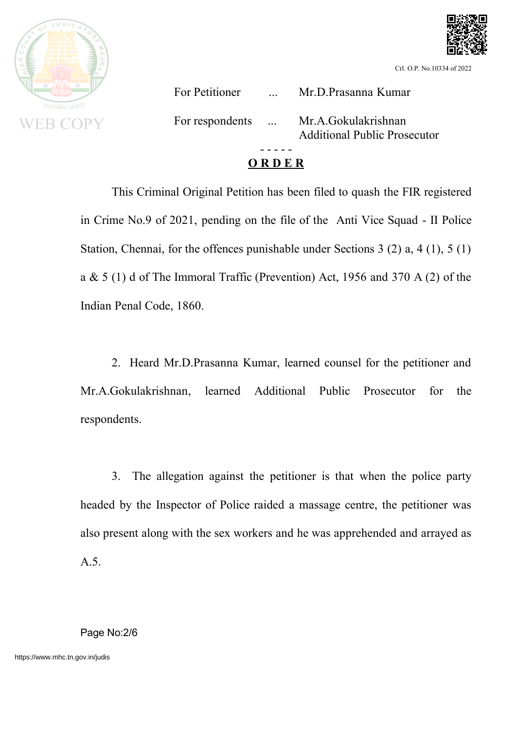



For Petitioner ... Mr.D.Prasanna Kumar For respondents ... Mr.A.Gokulakrishnan Additional Public Prosecutor - - - - -

# **O R D E R**

This Criminal Original Petition has been filed to quash the FIR registered in Crime No.9 of 2021, pending on the file of the Anti Vice Squad - II Police Station, Chennai, for the offences punishable under Sections 3 (2) a, 4 (1), 5 (1) a & 5 (1) d of The Immoral Traffic (Prevention) Act, 1956 and 370 A (2) of the Indian Penal Code, 1860.

2. Heard Mr.D.Prasanna Kumar, learned counsel for the petitioner and Mr.A.Gokulakrishnan, learned Additional Public Prosecutor for the respondents.

3. The allegation against the petitioner is that when the police party headed by the Inspector of Police raided a massage centre, the petitioner was also present along with the sex workers and he was apprehended and arrayed as A.5.

#### Page No:2/6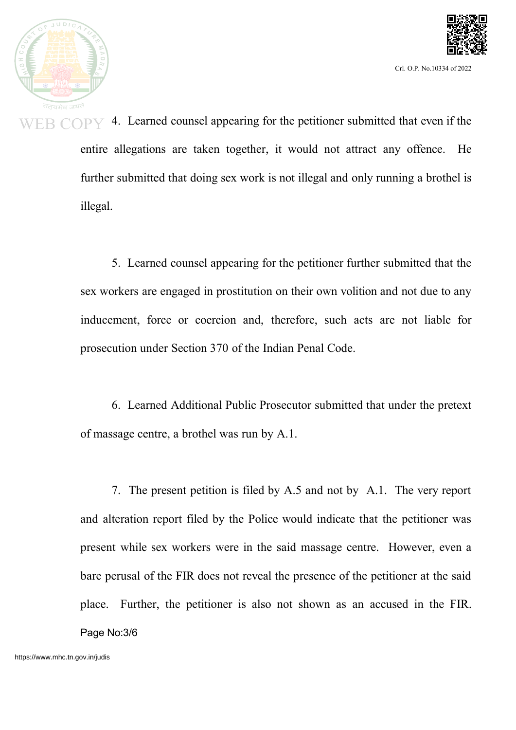



4. Learned counsel appearing for the petitioner submitted that even if the entire allegations are taken together, it would not attract any offence. He further submitted that doing sex work is not illegal and only running a brothel is illegal.

> 5. Learned counsel appearing for the petitioner further submitted that the sex workers are engaged in prostitution on their own volition and not due to any inducement, force or coercion and, therefore, such acts are not liable for prosecution under Section 370 of the Indian Penal Code.

> 6. Learned Additional Public Prosecutor submitted that under the pretext of massage centre, a brothel was run by A.1.

> 7. The present petition is filed by A.5 and not by A.1. The very report and alteration report filed by the Police would indicate that the petitioner was present while sex workers were in the said massage centre. However, even a bare perusal of the FIR does not reveal the presence of the petitioner at the said place. Further, the petitioner is also not shown as an accused in the FIR. Page No:3/6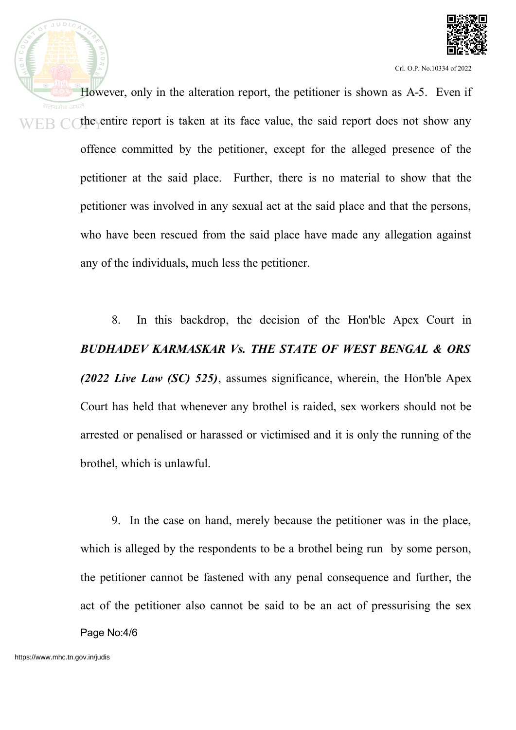

However, only in the alteration report, the petitioner is shown as A-5. Even if the entire report is taken at its face value, the said report does not show any offence committed by the petitioner, except for the alleged presence of the petitioner at the said place. Further, there is no material to show that the petitioner was involved in any sexual act at the said place and that the persons, who have been rescued from the said place have made any allegation against any of the individuals, much less the petitioner.

> 8. In this backdrop, the decision of the Hon'ble Apex Court in *BUDHADEV KARMASKAR Vs. THE STATE OF WEST BENGAL & ORS (2022 Live Law (SC) 525)*, assumes significance, wherein, the Hon'ble Apex Court has held that whenever any brothel is raided, sex workers should not be arrested or penalised or harassed or victimised and it is only the running of the brothel, which is unlawful.

> 9. In the case on hand, merely because the petitioner was in the place, which is alleged by the respondents to be a brothel being run by some person, the petitioner cannot be fastened with any penal consequence and further, the act of the petitioner also cannot be said to be an act of pressurising the sex Page No:4/6

 $JUDIC$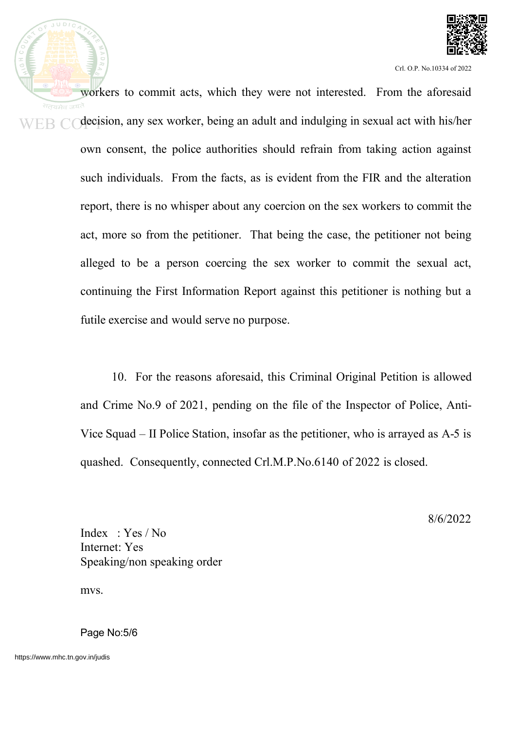

workers to commit acts, which they were not interested. From the aforesaid decision, any sex worker, being an adult and indulging in sexual act with his/her own consent, the police authorities should refrain from taking action against such individuals. From the facts, as is evident from the FIR and the alteration report, there is no whisper about any coercion on the sex workers to commit the act, more so from the petitioner. That being the case, the petitioner not being alleged to be a person coercing the sex worker to commit the sexual act, continuing the First Information Report against this petitioner is nothing but a futile exercise and would serve no purpose.

> 10. For the reasons aforesaid, this Criminal Original Petition is allowed and Crime No.9 of 2021, pending on the file of the Inspector of Police, Anti-Vice Squad – II Police Station, insofar as the petitioner, who is arrayed as A-5 is quashed. Consequently, connected Crl.M.P.No.6140 of 2022 is closed.

> > 8/6/2022

Index : Yes / No Internet: Yes Speaking/non speaking order

mvs.

Page No:5/6

https://www.mhc.tn.gov.in/judis